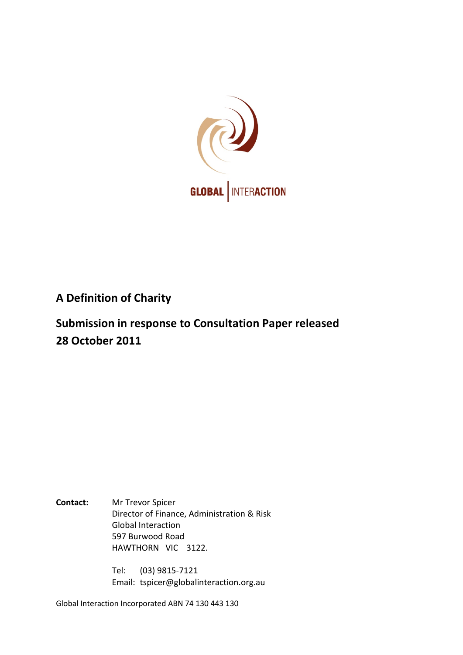

# **A Definition of Charity**

**Submission in response to Consultation Paper released 28 October 2011**

**Contact:** Mr Trevor Spicer Director of Finance, Administration & Risk Global Interaction 597 Burwood Road HAWTHORN VIC 3122.

> Tel: (03) 9815-7121 Email: tspicer@globalinteraction.org.au

Global Interaction Incorporated ABN 74 130 443 130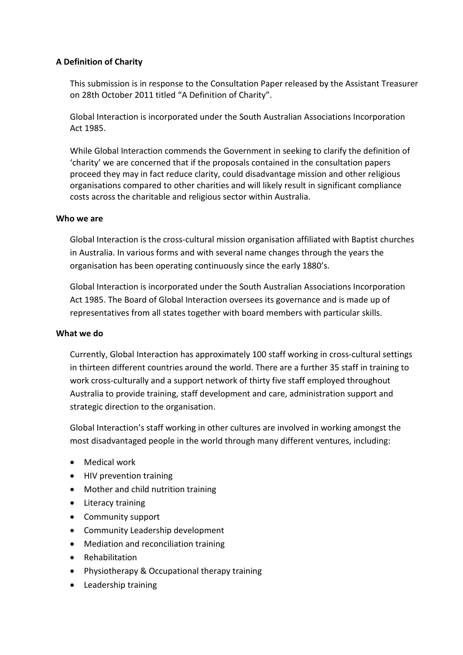## **A Definition of Charity**

This submission is in response to the Consultation Paper released by the Assistant Treasurer on 28th October 2011 titled "A Definition of Charity".

Global Interaction is incorporated under the South Australian Associations Incorporation Act 1985.

While Global Interaction commends the Government in seeking to clarify the definition of 'charity' we are concerned that if the proposals contained in the consultation papers proceed they may in fact reduce clarity, could disadvantage mission and other religious organisations compared to other charities and will likely result in significant compliance costs across the charitable and religious sector within Australia.

#### **Who we are**

Global Interaction is the cross-cultural mission organisation affiliated with Baptist churches in Australia. In various forms and with several name changes through the years the organisation has been operating continuously since the early 1880's.

Global Interaction is incorporated under the South Australian Associations Incorporation Act 1985. The Board of Global Interaction oversees its governance and is made up of representatives from all states together with board members with particular skills.

#### **What we do**

Currently, Global Interaction has approximately 100 staff working in cross-cultural settings in thirteen different countries around the world. There are a further 35 staff in training to work cross-culturally and a support network of thirty five staff employed throughout Australia to provide training, staff development and care, administration support and strategic direction to the organisation.

Global Interaction's staff working in other cultures are involved in working amongst the most disadvantaged people in the world through many different ventures, including:

- Medical work
- HIV prevention training
- Mother and child nutrition training
- Literacy training
- Community support
- Community Leadership development
- Mediation and reconciliation training
- Rehabilitation
- Physiotherapy & Occupational therapy training
- Leadership training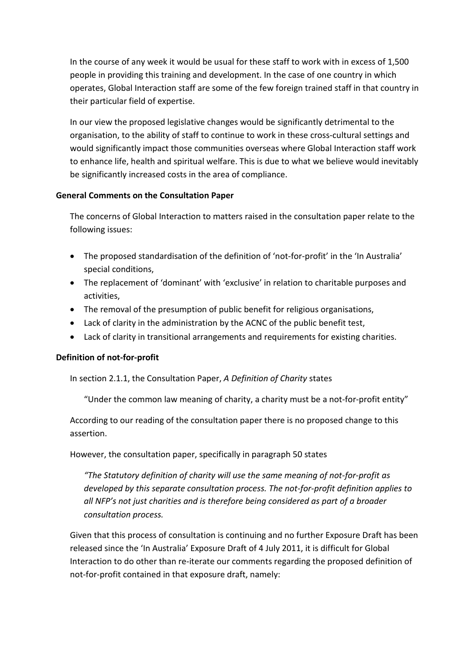In the course of any week it would be usual for these staff to work with in excess of 1,500 people in providing this training and development. In the case of one country in which operates, Global Interaction staff are some of the few foreign trained staff in that country in their particular field of expertise.

In our view the proposed legislative changes would be significantly detrimental to the organisation, to the ability of staff to continue to work in these cross-cultural settings and would significantly impact those communities overseas where Global Interaction staff work to enhance life, health and spiritual welfare. This is due to what we believe would inevitably be significantly increased costs in the area of compliance.

## **General Comments on the Consultation Paper**

The concerns of Global Interaction to matters raised in the consultation paper relate to the following issues:

- The proposed standardisation of the definition of 'not-for-profit' in the 'In Australia' special conditions,
- The replacement of 'dominant' with 'exclusive' in relation to charitable purposes and activities,
- The removal of the presumption of public benefit for religious organisations,
- Lack of clarity in the administration by the ACNC of the public benefit test,
- Lack of clarity in transitional arrangements and requirements for existing charities.

# **Definition of not-for-profit**

In section 2.1.1, the Consultation Paper, *A Definition of Charity* states

"Under the common law meaning of charity, a charity must be a not-for-profit entity"

According to our reading of the consultation paper there is no proposed change to this assertion.

However, the consultation paper, specifically in paragraph 50 states

*"The Statutory definition of charity will use the same meaning of not-for-profit as developed by this separate consultation process. The not-for-profit definition applies to all NFP's not just charities and is therefore being considered as part of a broader consultation process.*

Given that this process of consultation is continuing and no further Exposure Draft has been released since the 'In Australia' Exposure Draft of 4 July 2011, it is difficult for Global Interaction to do other than re-iterate our comments regarding the proposed definition of not-for-profit contained in that exposure draft, namely: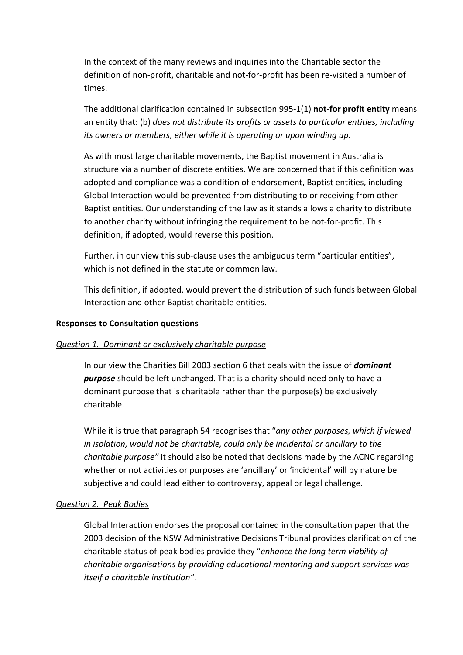In the context of the many reviews and inquiries into the Charitable sector the definition of non-profit, charitable and not-for-profit has been re-visited a number of times.

The additional clarification contained in subsection 995-1(1) **not-for profit entity** means an entity that: (b) *does not distribute its profits or assets to particular entities, including its owners or members, either while it is operating or upon winding up.*

As with most large charitable movements, the Baptist movement in Australia is structure via a number of discrete entities. We are concerned that if this definition was adopted and compliance was a condition of endorsement, Baptist entities, including Global Interaction would be prevented from distributing to or receiving from other Baptist entities. Our understanding of the law as it stands allows a charity to distribute to another charity without infringing the requirement to be not-for-profit. This definition, if adopted, would reverse this position.

Further, in our view this sub-clause uses the ambiguous term "particular entities", which is not defined in the statute or common law.

This definition, if adopted, would prevent the distribution of such funds between Global Interaction and other Baptist charitable entities.

#### **Responses to Consultation questions**

#### *Question 1. Dominant or exclusively charitable purpose*

In our view the Charities Bill 2003 section 6 that deals with the issue of *dominant purpose* should be left unchanged. That is a charity should need only to have a dominant purpose that is charitable rather than the purpose(s) be exclusively charitable.

While it is true that paragraph 54 recognises that "*any other purposes, which if viewed in isolation, would not be charitable, could only be incidental or ancillary to the charitable purpose"* it should also be noted that decisions made by the ACNC regarding whether or not activities or purposes are 'ancillary' or 'incidental' will by nature be subjective and could lead either to controversy, appeal or legal challenge.

#### *Question 2. Peak Bodies*

Global Interaction endorses the proposal contained in the consultation paper that the 2003 decision of the NSW Administrative Decisions Tribunal provides clarification of the charitable status of peak bodies provide they "*enhance the long term viability of charitable organisations by providing educational mentoring and support services was itself a charitable institution"*.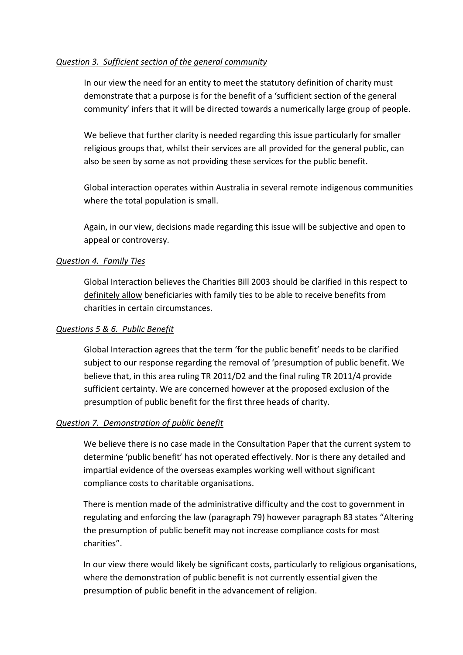## *Question 3. Sufficient section of the general community*

In our view the need for an entity to meet the statutory definition of charity must demonstrate that a purpose is for the benefit of a 'sufficient section of the general community' infers that it will be directed towards a numerically large group of people.

We believe that further clarity is needed regarding this issue particularly for smaller religious groups that, whilst their services are all provided for the general public, can also be seen by some as not providing these services for the public benefit.

Global interaction operates within Australia in several remote indigenous communities where the total population is small.

Again, in our view, decisions made regarding this issue will be subjective and open to appeal or controversy.

## *Question 4. Family Ties*

Global Interaction believes the Charities Bill 2003 should be clarified in this respect to definitely allow beneficiaries with family ties to be able to receive benefits from charities in certain circumstances.

### *Questions 5 & 6. Public Benefit*

Global Interaction agrees that the term 'for the public benefit' needs to be clarified subject to our response regarding the removal of 'presumption of public benefit. We believe that, in this area ruling TR 2011/D2 and the final ruling TR 2011/4 provide sufficient certainty. We are concerned however at the proposed exclusion of the presumption of public benefit for the first three heads of charity.

#### *Question 7. Demonstration of public benefit*

We believe there is no case made in the Consultation Paper that the current system to determine 'public benefit' has not operated effectively. Nor is there any detailed and impartial evidence of the overseas examples working well without significant compliance costs to charitable organisations.

There is mention made of the administrative difficulty and the cost to government in regulating and enforcing the law (paragraph 79) however paragraph 83 states "Altering the presumption of public benefit may not increase compliance costs for most charities".

In our view there would likely be significant costs, particularly to religious organisations, where the demonstration of public benefit is not currently essential given the presumption of public benefit in the advancement of religion.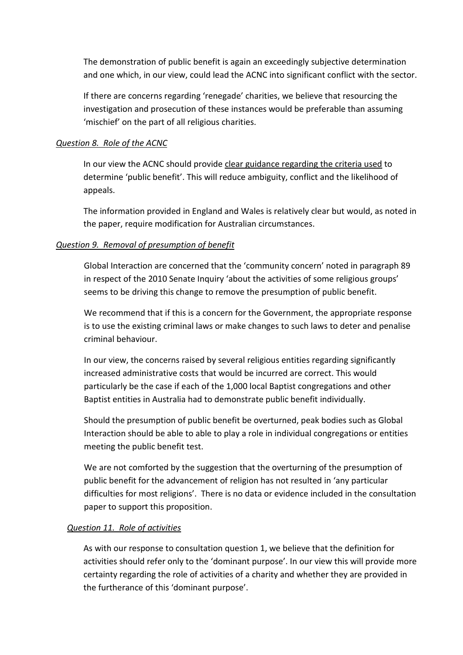The demonstration of public benefit is again an exceedingly subjective determination and one which, in our view, could lead the ACNC into significant conflict with the sector.

If there are concerns regarding 'renegade' charities, we believe that resourcing the investigation and prosecution of these instances would be preferable than assuming 'mischief' on the part of all religious charities.

### *Question 8. Role of the ACNC*

In our view the ACNC should provide clear guidance regarding the criteria used to determine 'public benefit'. This will reduce ambiguity, conflict and the likelihood of appeals.

The information provided in England and Wales is relatively clear but would, as noted in the paper, require modification for Australian circumstances.

## *Question 9. Removal of presumption of benefit*

Global Interaction are concerned that the 'community concern' noted in paragraph 89 in respect of the 2010 Senate Inquiry 'about the activities of some religious groups' seems to be driving this change to remove the presumption of public benefit.

We recommend that if this is a concern for the Government, the appropriate response is to use the existing criminal laws or make changes to such laws to deter and penalise criminal behaviour.

In our view, the concerns raised by several religious entities regarding significantly increased administrative costs that would be incurred are correct. This would particularly be the case if each of the 1,000 local Baptist congregations and other Baptist entities in Australia had to demonstrate public benefit individually.

Should the presumption of public benefit be overturned, peak bodies such as Global Interaction should be able to able to play a role in individual congregations or entities meeting the public benefit test.

We are not comforted by the suggestion that the overturning of the presumption of public benefit for the advancement of religion has not resulted in 'any particular difficulties for most religions'. There is no data or evidence included in the consultation paper to support this proposition.

#### *Question 11. Role of activities*

As with our response to consultation question 1, we believe that the definition for activities should refer only to the 'dominant purpose'. In our view this will provide more certainty regarding the role of activities of a charity and whether they are provided in the furtherance of this 'dominant purpose'.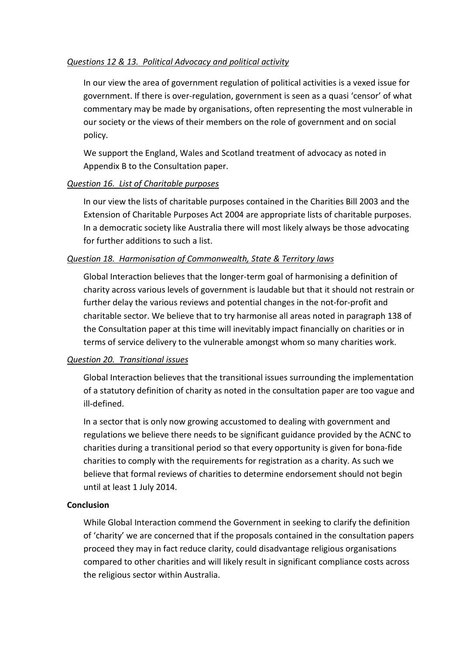# *Questions 12 & 13. Political Advocacy and political activity*

In our view the area of government regulation of political activities is a vexed issue for government. If there is over-regulation, government is seen as a quasi 'censor' of what commentary may be made by organisations, often representing the most vulnerable in our society or the views of their members on the role of government and on social policy.

We support the England, Wales and Scotland treatment of advocacy as noted in Appendix B to the Consultation paper.

## *Question 16. List of Charitable purposes*

In our view the lists of charitable purposes contained in the Charities Bill 2003 and the Extension of Charitable Purposes Act 2004 are appropriate lists of charitable purposes. In a democratic society like Australia there will most likely always be those advocating for further additions to such a list.

## *Question 18. Harmonisation of Commonwealth, State & Territory laws*

Global Interaction believes that the longer-term goal of harmonising a definition of charity across various levels of government is laudable but that it should not restrain or further delay the various reviews and potential changes in the not-for-profit and charitable sector. We believe that to try harmonise all areas noted in paragraph 138 of the Consultation paper at this time will inevitably impact financially on charities or in terms of service delivery to the vulnerable amongst whom so many charities work.

# *Question 20. Transitional issues*

Global Interaction believes that the transitional issues surrounding the implementation of a statutory definition of charity as noted in the consultation paper are too vague and ill-defined.

In a sector that is only now growing accustomed to dealing with government and regulations we believe there needs to be significant guidance provided by the ACNC to charities during a transitional period so that every opportunity is given for bona-fide charities to comply with the requirements for registration as a charity. As such we believe that formal reviews of charities to determine endorsement should not begin until at least 1 July 2014.

#### **Conclusion**

While Global Interaction commend the Government in seeking to clarify the definition of 'charity' we are concerned that if the proposals contained in the consultation papers proceed they may in fact reduce clarity, could disadvantage religious organisations compared to other charities and will likely result in significant compliance costs across the religious sector within Australia.